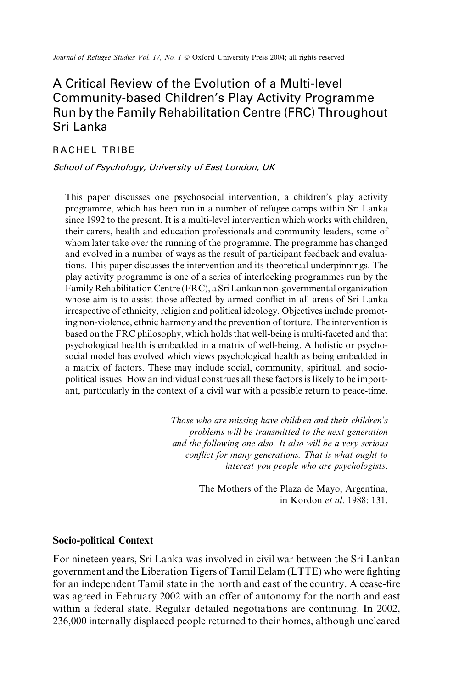# A Critical Review of the Evolution of a Multi-level Community-based Children's Play Activity Programme Run by the Family Rehabilitation Centre (FRC) Throughout Sri Lanka

#### RACHEL TRIBE

School of Psychology, University of East London, UK

This paper discusses one psychosocial intervention, a children's play activity programme, which has been run in a number of refugee camps within Sri Lanka since 1992 to the present. It is a multi-level intervention which works with children, their carers, health and education professionals and community leaders, some of whom later take over the running of the programme. The programme has changed and evolved in a number of ways as the result of participant feedback and evaluations. This paper discusses the intervention and its theoretical underpinnings. The play activity programme is one of a series of interlocking programmes run by the Family Rehabilitation Centre (FRC), a Sri Lankan non-governmental organization whose aim is to assist those affected by armed conflict in all areas of Sri Lanka irrespective of ethnicity, religion and political ideology. Objectives include promoting non-violence, ethnic harmony and the prevention of torture. The intervention is based on the FRC philosophy, which holds that well-being is multi-faceted and that psychological health is embedded in a matrix of well-being. A holistic or psychosocial model has evolved which views psychological health as being embedded in a matrix of factors. These may include social, community, spiritual, and sociopolitical issues. How an individual construes all these factors is likely to be important, particularly in the context of a civil war with a possible return to peace-time.

> Those who are missing have children and their children's problems will be transmitted to the next generation and the following one also. It also will be a very serious conflict for many generations. That is what ought to interest you people who are psychologists.

> > The Mothers of the Plaza de Mayo, Argentina, in Kordon et al. 1988: 131.

### Socio-political Context

For nineteen years, Sri Lanka was involved in civil war between the Sri Lankan government and the Liberation Tigers of Tamil Eelam  $(LTTE)$  who were fighting for an independent Tamil state in the north and east of the country. A cease-fire was agreed in February 2002 with an offer of autonomy for the north and east within a federal state. Regular detailed negotiations are continuing. In 2002, 236,000 internally displaced people returned to their homes, although uncleared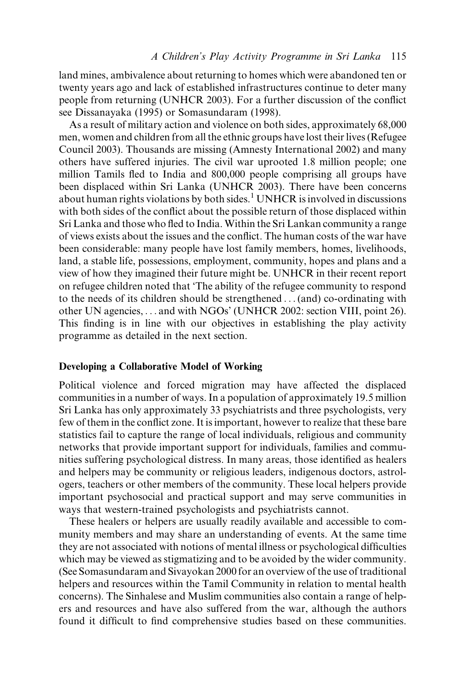land mines, ambivalence about returning to homes which were abandoned ten or twenty years ago and lack of established infrastructures continue to deter many people from returning (UNHCR 2003). For a further discussion of the conflict see Dissanayaka (1995) or Somasundaram (1998).

As a result of military action and violence on both sides, approximately 68,000 men, women and children from all the ethnic groups have lost their lives (Refugee Council 2003). Thousands are missing (Amnesty International 2002) and many others have suffered injuries. The civil war uprooted 1.8 million people; one million Tamils fled to India and 800,000 people comprising all groups have been displaced within Sri Lanka (UNHCR 2003). There have been concerns about human rights violations by both sides.<sup>1</sup> UNHCR is involved in discussions with both sides of the conflict about the possible return of those displaced within Sri Lanka and those who fled to India. Within the Sri Lankan community a range of views exists about the issues and the conflict. The human costs of the war have been considerable: many people have lost family members, homes, livelihoods, land, a stable life, possessions, employment, community, hopes and plans and a view of how they imagined their future might be. UNHCR in their recent report on refugee children noted that `The ability of the refugee community to respond to the needs of its children should be strengthened . . . (and) co-ordinating with other UN agencies, . . . and with NGOs' (UNHCR 2002: section VIII, point 26). This finding is in line with our objectives in establishing the play activity programme as detailed in the next section.

#### Developing a Collaborative Model of Working

Political violence and forced migration may have affected the displaced communitiesin a number of ways.In a population of approximately 19.5 million Sri Lanka has only approximately 33 psychiatrists and three psychologists, very few of them in the conflict zone. It is important, however to realize that these bare statistics fail to capture the range of local individuals, religious and community networks that provide important support for individuals, families and communities suffering psychological distress. In many areas, those identified as healers and helpers may be community or religious leaders, indigenous doctors, astrologers, teachers or other members of the community. These local helpers provide important psychosocial and practical support and may serve communities in ways that western-trained psychologists and psychiatrists cannot.

These healers or helpers are usually readily available and accessible to community members and may share an understanding of events. At the same time they are not associated with notions of mental illness or psychological difficulties which may be viewed as stigmatizing and to be avoided by the wider community. (See Somasundaram and Sivayokan 2000 for an overview of the use of traditional helpers and resources within the Tamil Community in relation to mental health concerns). The Sinhalese and Muslim communities also contain a range of helpers and resources and have also suffered from the war, although the authors found it difficult to find comprehensive studies based on these communities.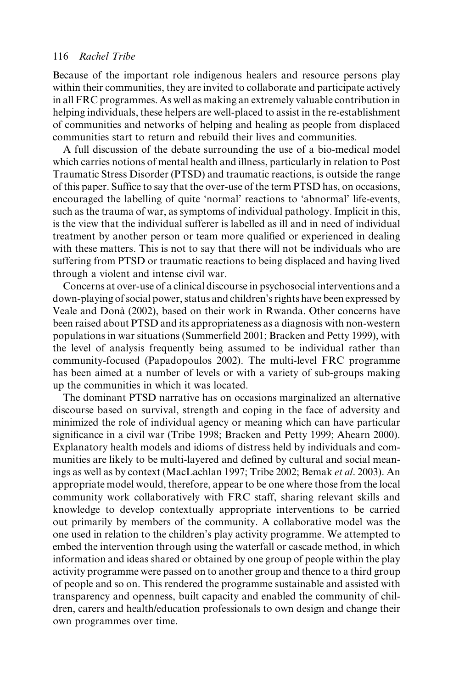Because of the important role indigenous healers and resource persons play within their communities, they are invited to collaborate and participate actively in all FRC programmes. As well as making an extremely valuable contribution in helping individuals, these helpers are well-placed to assist in the re-establishment of communities and networks of helping and healing as people from displaced communities start to return and rebuild their lives and communities.

A full discussion of the debate surrounding the use of a bio-medical model which carries notions of mental health and illness, particularly in relation to Post Traumatic Stress Disorder (PTSD) and traumatic reactions, is outside the range of this paper. Suffice to say that the over-use of the term PTSD has, on occasions, encouraged the labelling of quite `normal' reactions to `abnormal' life-events, such as the trauma of war, as symptoms of individual pathology. Implicit in this, is the view that the individual sufferer is labelled as ill and in need of individual treatment by another person or team more qualified or experienced in dealing with these matters. This is not to say that there will not be individuals who are suffering from PTSD or traumatic reactions to being displaced and having lived through a violent and intense civil war.

Concerns at over-use of a clinical discourse in psychosocial interventions and a down-playing of social power, status and children's rights have been expressed by Veale and Donà (2002), based on their work in Rwanda. Other concerns have been raised about PTSD and its appropriateness as a diagnosis with non-western populations in war situations (Summerfield 2001; Bracken and Petty 1999), with the level of analysis frequently being assumed to be individual rather than community-focused (Papadopoulos 2002). The multi-level FRC programme has been aimed at a number of levels or with a variety of sub-groups making up the communities in which it was located.

The dominant PTSD narrative has on occasions marginalized an alternative discourse based on survival, strength and coping in the face of adversity and minimized the role of individual agency or meaning which can have particular significance in a civil war (Tribe 1998; Bracken and Petty 1999; Ahearn 2000). Explanatory health models and idioms of distress held by individuals and communities are likely to be multi-layered and defined by cultural and social meanings as well as by context (MacLachlan 1997; Tribe 2002; Bemak et al. 2003). An appropriate model would, therefore, appearto be one where those from the local community work collaboratively with FRC staff, sharing relevant skills and knowledge to develop contextually appropriate interventions to be carried out primarily by members of the community. A collaborative model was the one used in relation to the children's play activity programme. We attempted to embed the intervention through using the waterfall or cascade method, in which information and ideas shared or obtained by one group of people within the play activity programme were passed on to another group and thence to a third group of people and so on. This rendered the programme sustainable and assisted with transparency and openness, built capacity and enabled the community of children, carers and health/education professionals to own design and change their own programmes over time.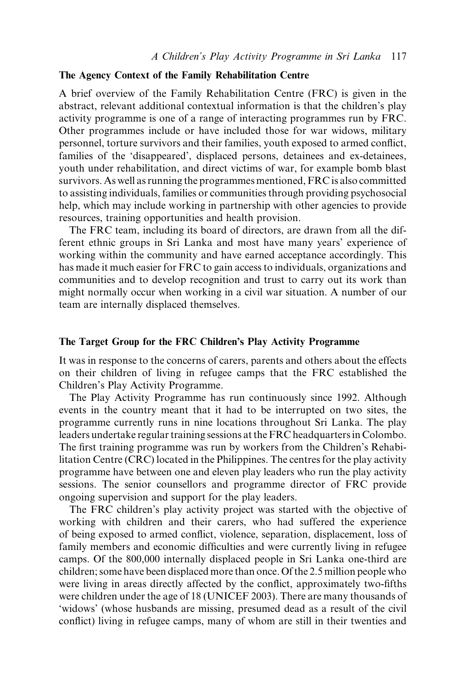# The Agency Context of the Family Rehabilitation Centre

A brief overview of the Family Rehabilitation Centre (FRC) is given in the abstract, relevant additional contextual information is that the children's play activity programme is one of a range of interacting programmes run by FRC. Other programmes include or have included those for war widows, military personnel, torture survivors and their families, youth exposed to armed conflict, families of the 'disappeared', displaced persons, detainees and ex-detainees, youth under rehabilitation, and direct victims of war, for example bomb blast survivors. As well as running the programmes mentioned, FRC is also committed to assisting individuals, families or communities through providing psychosocial help, which may include working in partnership with other agencies to provide resources, training opportunities and health provision.

The FRC team, including its board of directors, are drawn from all the different ethnic groups in Sri Lanka and most have many years' experience of working within the community and have earned acceptance accordingly. This has made it much easier for FRC to gain access to individuals, organizations and communities and to develop recognition and trust to carry out its work than might normally occur when working in a civil war situation. A number of our team are internally displaced themselves.

# The Target Group for the FRC Children's Play Activity Programme

It was in response to the concerns of carers, parents and others about the effects on their children of living in refugee camps that the FRC established the Children's Play Activity Programme.

The Play Activity Programme has run continuously since 1992. Although events in the country meant that it had to be interrupted on two sites, the programme currently runs in nine locations throughout Sri Lanka. The play leaders undertake regular training sessions at the FRC headquarters in Colombo. The first training programme was run by workers from the Children's Rehabilitation Centre (CRC) located in the Philippines. The centres for the play activity programme have between one and eleven play leaders who run the play activity sessions. The senior counsellors and programme director of FRC provide ongoing supervision and support for the play leaders.

The FRC children's play activity project was started with the objective of working with children and their carers, who had suffered the experience of being exposed to armed conflict, violence, separation, displacement, loss of family members and economic difficulties and were currently living in refugee camps. Of the 800,000 internally displaced people in Sri Lanka one-third are children; some have been displaced more than once. Of the 2.5 million people who were living in areas directly affected by the conflict, approximately two-fifths were children under the age of 18 (UNICEF 2003). There are many thousands of `widows' (whose husbands are missing, presumed dead as a result of the civil conflict) living in refugee camps, many of whom are still in their twenties and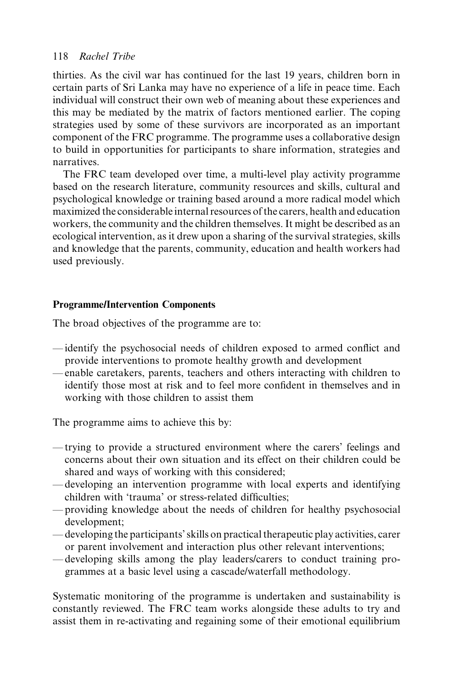thirties. As the civil war has continued for the last 19 years, children born in certain parts of Sri Lanka may have no experience of a life in peace time. Each individual will construct their own web of meaning about these experiences and this may be mediated by the matrix of factors mentioned earlier. The coping strategies used by some of these survivors are incorporated as an important component of the FRC programme. The programme uses a collaborative design to build in opportunities for participants to share information, strategies and narratives.

The FRC team developed over time, a multi-level play activity programme based on the research literature, community resources and skills, cultural and psychological knowledge or training based around a more radical model which maximized the considerable internal resources of the carers, health and education workers, the community and the children themselves. It might be described as an ecological intervention, as it drew upon a sharing of the survival strategies, skills and knowledge that the parents, community, education and health workers had used previously.

# Programme/Intervention Components

The broad objectives of the programme are to:

- Ð identify the psychosocial needs of children exposed to armed con¯ict and provide interventions to promote healthy growth and development
- Ð enable caretakers, parents, teachers and others interacting with children to identify those most at risk and to feel more confident in themselves and in working with those children to assist them

The programme aims to achieve this by:

- Ð trying to provide a structured environment where the carers' feelings and concerns about their own situation and its effect on their children could be shared and ways of working with this considered;
- Ð developing an intervention programme with local experts and identifying children with 'trauma' or stress-related difficulties;
- Ð providing knowledge about the needs of children for healthy psychosocial development;
- $-\theta$  developing the participants' skills on practical therapeutic play activities, carer or parent involvement and interaction plus other relevant interventions;
- Ð developing skills among the play leaders/carers to conduct training programmes at a basic level using a cascade/waterfall methodology.

Systematic monitoring of the programme is undertaken and sustainability is constantly reviewed. The FRC team works alongside these adults to try and assist them in re-activating and regaining some of their emotional equilibrium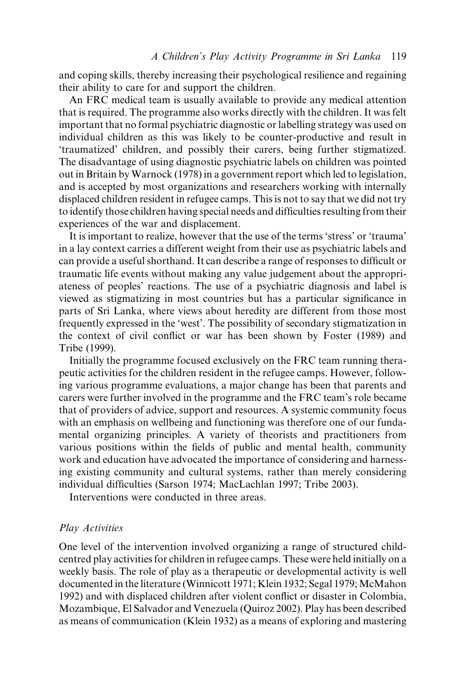and coping skills, thereby increasing their psychological resilience and regaining their ability to care for and support the children.

An FRC medical team is usually available to provide any medical attention that is required. The programme also works directly with the children. It was felt important that no formal psychiatric diagnostic or labelling strategy was used on individual children as this was likely to be counter-productive and result in `traumatized' children, and possibly their carers, being further stigmatized. The disadvantage of using diagnostic psychiatric labels on children was pointed out in Britain by Warnock (1978) in a governmentreport which led to legislation, and is accepted by most organizations and researchers working with internally displaced children resident in refugee camps. This is not to say that we did not try to identify those children having special needs and difficulties resulting from their experiences of the war and displacement.

It is important to realize, however that the use of the terms `stress' or `trauma' in a lay context carries a different weight from their use as psychiatric labels and can provide a useful shorthand. It can describe a range of responses to difficult or traumatic life events without making any value judgement about the appropriateness of peoples' reactions. The use of a psychiatric diagnosis and label is viewed as stigmatizing in most countries but has a particular significance in parts of Sri Lanka, where views about heredity are different from those most frequently expressed in the `west'. The possibility of secondary stigmatization in the context of civil conflict or war has been shown by Foster (1989) and Tribe (1999).

Initially the programme focused exclusively on the FRC team running therapeutic activities for the children resident in the refugee camps. However, following various programme evaluations, a major change has been that parents and carers were further involved in the programme and the FRC team's role became that of providers of advice, support and resources. A systemic community focus with an emphasis on wellbeing and functioning was therefore one of our fundamental organizing principles. A variety of theorists and practitioners from various positions within the fields of public and mental health, community work and education have advocated the importance of considering and harnessing existing community and cultural systems, rather than merely considering individual difficulties (Sarson 1974; MacLachlan 1997; Tribe 2003).

Interventions were conducted in three areas.

#### Play Activities

One level of the intervention involved organizing a range of structured childcentred play activitiesfor children in refugee camps. These were held initially on a weekly basis. The role of play as a therapeutic or developmental activity is well documented in the literature (Winnicott 1971; Klein 1932; Segal 1979; McMahon 1992) and with displaced children after violent conflict or disaster in Colombia, Mozambique, El Salvador and Venezuela (Quiroz 2002). Play has been described as means of communication (Klein 1932) as a means of exploring and mastering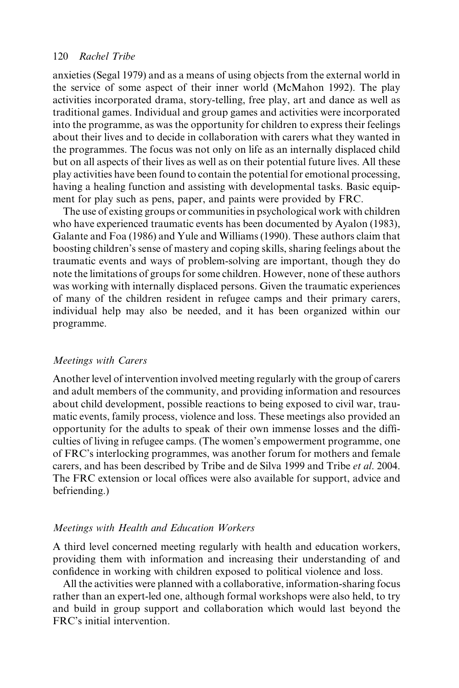anxieties (Segal 1979) and as a means of using objects from the external world in the service of some aspect of their inner world (McMahon 1992). The play activities incorporated drama, story-telling, free play, art and dance as well as traditional games. Individual and group games and activities were incorporated into the programme, as was the opportunity for children to express their feelings about their lives and to decide in collaboration with carers what they wanted in the programmes. The focus was not only on life as an internally displaced child but on all aspects of their lives as well as on their potential future lives. All these play activities have been found to contain the potential for emotional processing, having a healing function and assisting with developmental tasks. Basic equipment for play such as pens, paper, and paints were provided by FRC.

The use of existing groups or communitiesin psychological work with children who have experienced traumatic events has been documented by Ayalon (1983), Galante and Foa (1986) and Yule and Williams (1990). These authors claim that boosting children's sense of mastery and coping skills, sharing feelings about the traumatic events and ways of problem-solving are important, though they do note the limitations of groups for some children. However, none of these authors was working with internally displaced persons. Given the traumatic experiences of many of the children resident in refugee camps and their primary carers, individual help may also be needed, and it has been organized within our programme.

# Meetings with Carers

Another level of intervention involved meeting regularly with the group of carers and adult members of the community, and providing information and resources about child development, possible reactions to being exposed to civil war, traumatic events, family process, violence and loss. These meetings also provided an opportunity for the adults to speak of their own immense losses and the difficulties of living in refugee camps. (The women's empowerment programme, one of FRC's interlocking programmes, was another forum for mothers and female carers, and has been described by Tribe and de Silva 1999 and Tribe et al. 2004. The FRC extension or local offices were also available for support, advice and befriending.)

# Meetings with Health and Education Workers

A third level concerned meeting regularly with health and education workers, providing them with information and increasing their understanding of and confidence in working with children exposed to political violence and loss.

All the activities were planned with a collaborative, information-sharing focus rather than an expert-led one, although formal workshops were also held, to try and build in group support and collaboration which would last beyond the FRC's initial intervention.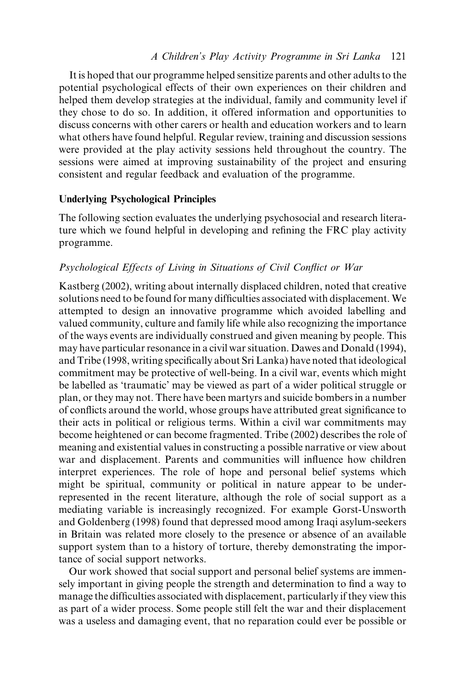It is hoped that our programme helped sensitize parents and other adults to the potential psychological effects of their own experiences on their children and helped them develop strategies at the individual, family and community level if they chose to do so. In addition, it offered information and opportunities to discuss concerns with other carers or health and education workers and to learn what others have found helpful. Regular review, training and discussion sessions were provided at the play activity sessions held throughout the country. The sessions were aimed at improving sustainability of the project and ensuring consistent and regular feedback and evaluation of the programme.

## Underlying Psychological Principles

The following section evaluates the underlying psychosocial and research literature which we found helpful in developing and refining the FRC play activity programme.

# Psychological Effects of Living in Situations of Civil Conflict or War

Kastberg (2002), writing about internally displaced children, noted that creative solutions need to be found for many difficulties associated with displacement. We attempted to design an innovative programme which avoided labelling and valued community, culture and family life while also recognizing the importance of the ways events are individually construed and given meaning by people. This may have particular resonance in a civil war situation. Dawes and Donald (1994), and Tribe (1998, writing specifically about Sri Lanka) have noted that ideological commitment may be protective of well-being. In a civil war, events which might be labelled as 'traumatic' may be viewed as part of a wider political struggle or plan, orthey may not. There have been martyrs and suicide bombersin a number of conflicts around the world, whose groups have attributed great significance to their acts in political or religious terms. Within a civil war commitments may become heightened or can become fragmented. Tribe (2002) describes the role of meaning and existential values in constructing a possible narrative or view about war and displacement. Parents and communities will influence how children interpret experiences. The role of hope and personal belief systems which might be spiritual, community or political in nature appear to be underrepresented in the recent literature, although the role of social support as a mediating variable is increasingly recognized. For example Gorst-Unsworth and Goldenberg (1998) found that depressed mood among Iraqi asylum-seekers in Britain was related more closely to the presence or absence of an available support system than to a history of torture, thereby demonstrating the importance of social support networks.

Our work showed that social support and personal belief systems are immensely important in giving people the strength and determination to find a way to manage the difficulties associated with displacement, particularly if they view this as part of a wider process. Some people still felt the war and their displacement was a useless and damaging event, that no reparation could ever be possible or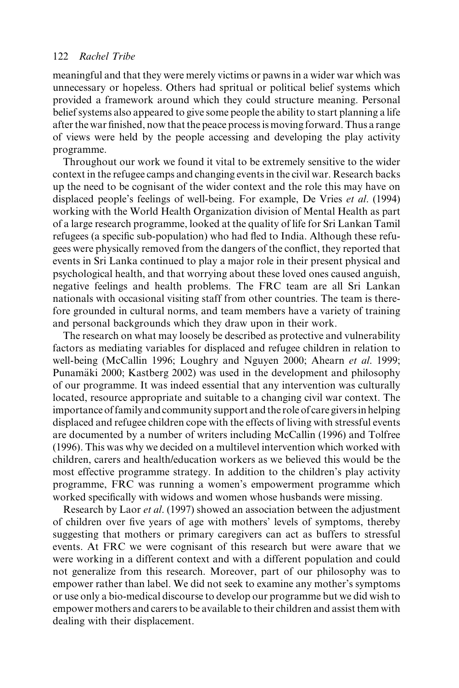meaningful and that they were merely victims or pawns in a wider war which was unnecessary or hopeless. Others had spritual or political belief systems which provided a framework around which they could structure meaning. Personal belief systems also appeared to give some people the ability to start planning a life after the war finished, now that the peace process is moving forward. Thus a range of views were held by the people accessing and developing the play activity programme.

Throughout our work we found it vital to be extremely sensitive to the wider context in the refugee camps and changing eventsin the civil war. Research backs up the need to be cognisant of the wider context and the role this may have on displaced people's feelings of well-being. For example, De Vries et al. (1994) working with the World Health Organization division of Mental Health as part of a large research programme, looked at the quality of life for Sri Lankan Tamil refugees (a specific sub-population) who had fled to India. Although these refugees were physically removed from the dangers of the conflict, they reported that events in Sri Lanka continued to play a major role in their present physical and psychological health, and that worrying about these loved ones caused anguish, negative feelings and health problems. The FRC team are all Sri Lankan nationals with occasional visiting staff from other countries. The team is therefore grounded in cultural norms, and team members have a variety of training and personal backgrounds which they draw upon in their work.

The research on what may loosely be described as protective and vulnerability factors as mediating variables for displaced and refugee children in relation to well-being (McCallin 1996; Loughry and Nguyen 2000; Ahearn et al. 1999; Punamaki 2000; Kastberg 2002) was used in the development and philosophy of our programme. It was indeed essential that any intervention was culturally located, resource appropriate and suitable to a changing civil war context. The importance of family and community support and the role of care givers in helping displaced and refugee children cope with the effects of living with stressful events are documented by a number of writers including McCallin (1996) and Tolfree (1996). This was why we decided on a multilevel intervention which worked with children, carers and health/education workers as we believed this would be the most effective programme strategy. In addition to the children's play activity programme, FRC was running a women's empowerment programme which worked specifically with widows and women whose husbands were missing.

Research by Laor et al. (1997) showed an association between the adjustment of children over five years of age with mothers' levels of symptoms, thereby suggesting that mothers or primary caregivers can act as buffers to stressful events. At FRC we were cognisant of this research but were aware that we were working in a different context and with a different population and could not generalize from this research. Moreover, part of our philosophy was to empower rather than label. We did not seek to examine any mother's symptoms or use only a bio-medical discourse to develop our programme but we did wish to empower mothers and carersto be available to their children and assist them with dealing with their displacement.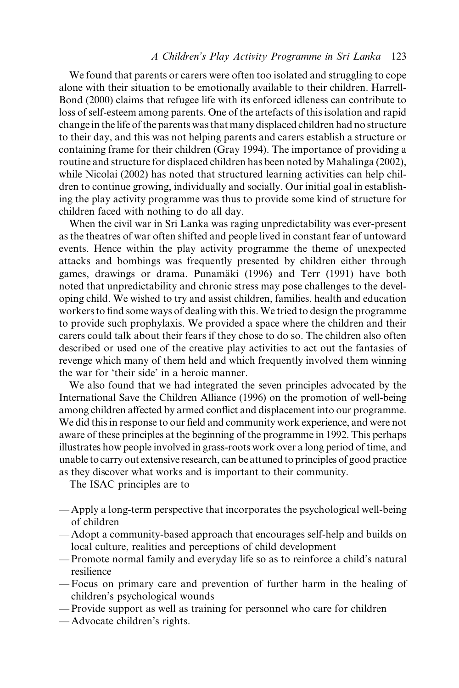We found that parents or carers were often too isolated and struggling to cope alone with their situation to be emotionally available to their children. Harrell-Bond (2000) claims that refugee life with its enforced idleness can contribute to loss of self-esteem among parents. One of the artefacts of this isolation and rapid change in the life of the parents was that many displaced children had no structure to their day, and this was not helping parents and carers establish a structure or containing frame for their children (Gray 1994). The importance of providing a routine and structure for displaced children has been noted by Mahalinga (2002), while Nicolai (2002) has noted that structured learning activities can help children to continue growing, individually and socially. Our initial goal in establishing the play activity programme was thus to provide some kind of structure for children faced with nothing to do all day.

When the civil war in Sri Lanka was raging unpredictability was ever-present as the theatres of war often shifted and people lived in constant fear of untoward events. Hence within the play activity programme the theme of unexpected attacks and bombings was frequently presented by children either through games, drawings or drama. Punamaki (1996) and Terr (1991) have both noted that unpredictability and chronic stress may pose challenges to the developing child. We wished to try and assist children, families, health and education workers to find some ways of dealing with this. We tried to design the programme to provide such prophylaxis. We provided a space where the children and their carers could talk about their fears if they chose to do so. The children also often described or used one of the creative play activities to act out the fantasies of revenge which many of them held and which frequently involved them winning the war for `their side' in a heroic manner.

We also found that we had integrated the seven principles advocated by the International Save the Children Alliance (1996) on the promotion of well-being among children affected by armed conflict and displacement into our programme. We did this in response to our field and community work experience, and were not aware of these principles at the beginning of the programme in 1992. This perhaps illustrates how people involved in grass-roots work over a long period of time, and unable to carry out extensive research, can be attuned to principles of good practice as they discover what works and is important to their community.

The ISAC principles are to

- $-\Delta$ pply a long-term perspective that incorporates the psychological well-being of children
- Ð Adopt a community-based approach that encourages self-help and builds on local culture, realities and perceptions of child development
- Ð Promote normal family and everyday life so as to reinforce a child's natural resilience
- Ð Focus on primary care and prevention of further harm in the healing of children's psychological wounds
- Ð Provide support as well as training for personnel who care for children
- Advocate children's rights.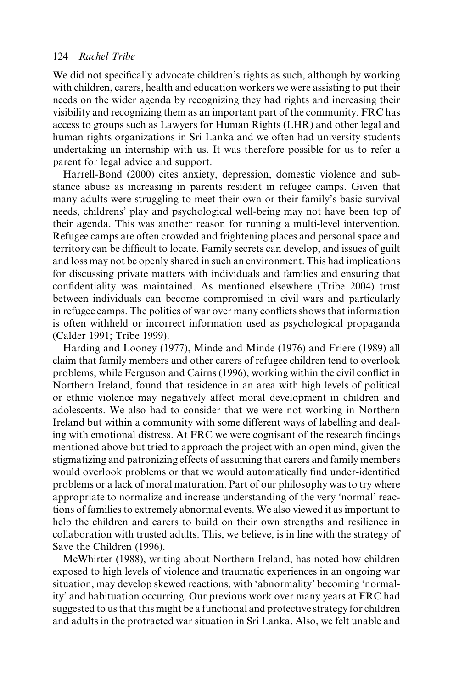We did not specifically advocate children's rights as such, although by working with children, carers, health and education workers we were assisting to put their needs on the wider agenda by recognizing they had rights and increasing their visibility and recognizing them as an important part of the community. FRC has access to groups such as Lawyers for Human Rights (LHR) and other legal and human rights organizations in Sri Lanka and we often had university students undertaking an internship with us. It was therefore possible for us to refer a parent for legal advice and support.

Harrell-Bond (2000) cites anxiety, depression, domestic violence and substance abuse as increasing in parents resident in refugee camps. Given that many adults were struggling to meet their own or their family's basic survival needs, childrens' play and psychological well-being may not have been top of their agenda. This was another reason for running a multi-level intervention. Refugee camps are often crowded and frightening places and personal space and territory can be difficult to locate. Family secrets can develop, and issues of guilt and loss may not be openly shared in such an environment. This had implications for discussing private matters with individuals and families and ensuring that confidentiality was maintained. As mentioned elsewhere (Tribe 2004) trust between individuals can become compromised in civil wars and particularly in refugee camps. The politics of war over many conflicts shows that information is often withheld or incorrect information used as psychological propaganda (Calder 1991; Tribe 1999).

Harding and Looney (1977), Minde and Minde (1976) and Friere (1989) all claim that family members and other carers of refugee children tend to overlook problems, while Ferguson and Cairns (1996), working within the civil conflict in Northern Ireland, found that residence in an area with high levels of political or ethnic violence may negatively affect moral development in children and adolescents. We also had to consider that we were not working in Northern Ireland but within a community with some different ways of labelling and dealing with emotional distress. At FRC we were cognisant of the research findings mentioned above but tried to approach the project with an open mind, given the stigmatizing and patronizing effects of assuming that carers and family members would overlook problems or that we would automatically find under-identified problems or a lack of moral maturation. Part of our philosophy was to try where appropriate to normalize and increase understanding of the very `normal' reactions of families to extremely abnormal events. We also viewed it as important to help the children and carers to build on their own strengths and resilience in collaboration with trusted adults. This, we believe, is in line with the strategy of Save the Children (1996).

McWhirter (1988), writing about Northern Ireland, has noted how children exposed to high levels of violence and traumatic experiences in an ongoing war situation, may develop skewed reactions, with `abnormality' becoming `normality' and habituation occurring. Our previous work over many years at FRC had suggested to us that this might be a functional and protective strategy for children and adults in the protracted war situation in Sri Lanka. Also, we felt unable and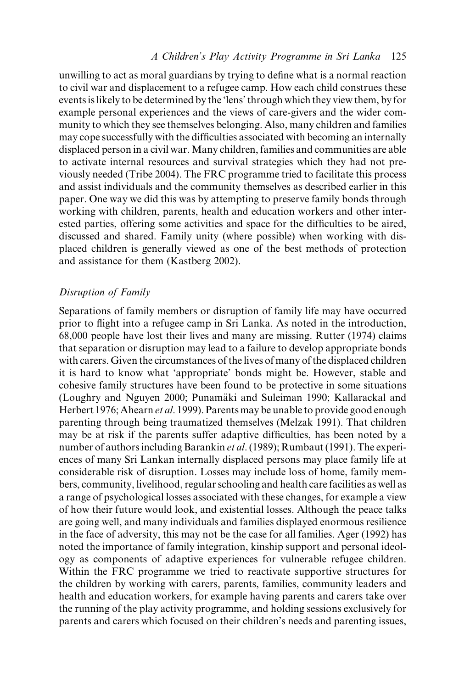unwilling to act as moral guardians by trying to define what is a normal reaction to civil war and displacement to a refugee camp. How each child construes these events is likely to be determined by the 'lens' through which they view them, by for example personal experiences and the views of care-givers and the wider community to which they see themselves belonging. Also, many children and families may cope successfully with the difficulties associated with becoming an internally displaced person in a civil war. Many children, families and communities are able to activate internal resources and survival strategies which they had not previously needed (Tribe 2004). The FRC programme tried to facilitate this process and assist individuals and the community themselves as described earlier in this paper. One way we did this was by attempting to preserve family bonds through working with children, parents, health and education workers and other interested parties, offering some activities and space for the difficulties to be aired, discussed and shared. Family unity (where possible) when working with displaced children is generally viewed as one of the best methods of protection and assistance for them (Kastberg 2002).

## Disruption of Family

Separations of family members or disruption of family life may have occurred prior to flight into a refugee camp in Sri Lanka. As noted in the introduction, 68,000 people have lost their lives and many are missing. Rutter (1974) claims that separation or disruption may lead to a failure to develop appropriate bonds with carers. Given the circumstances of the lives of many of the displaced children it is hard to know what `appropriate' bonds might be. However, stable and cohesive family structures have been found to be protective in some situations (Loughry and Nguyen 2000; Punamaki and Suleiman 1990; Kallarackal and Herbert 1976; Ahearn *et al.* 1999). Parents may be unable to provide good enough parenting through being traumatized themselves (Melzak 1991). That children may be at risk if the parents suffer adaptive difficulties, has been noted by a number of authors including Barankin et al. (1989); Rumbaut (1991). The experiences of many Sri Lankan internally displaced persons may place family life at considerable risk of disruption. Losses may include loss of home, family members, community, livelihood, regular schooling and health care facilities as well as a range of psychological losses associated with these changes, for example a view of how their future would look, and existential losses. Although the peace talks are going well, and many individuals and families displayed enormous resilience in the face of adversity, this may not be the case for all families. Ager (1992) has noted the importance of family integration, kinship support and personal ideology as components of adaptive experiences for vulnerable refugee children. Within the FRC programme we tried to reactivate supportive structures for the children by working with carers, parents, families, community leaders and health and education workers, for example having parents and carers take over the running of the play activity programme, and holding sessions exclusively for parents and carers which focused on their children's needs and parenting issues,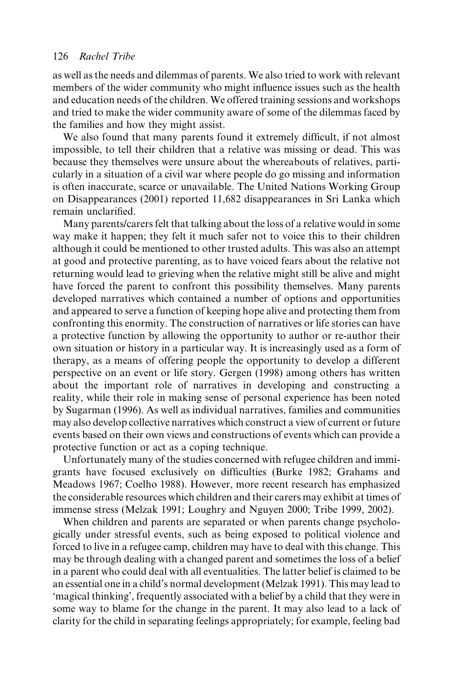as well as the needs and dilemmas of parents. We also tried to work with relevant members of the wider community who might influence issues such as the health and education needs of the children. We offered training sessions and workshops and tried to make the wider community aware of some of the dilemmas faced by the families and how they might assist.

We also found that many parents found it extremely difficult, if not almost impossible, to tell their children that a relative was missing or dead. This was because they themselves were unsure about the whereabouts of relatives, particularly in a situation of a civil war where people do go missing and information is often inaccurate, scarce or unavailable. The United Nations Working Group on Disappearances (2001) reported 11,682 disappearances in Sri Lanka which remain unclarified.

Many parents/carersfelt that talking about the loss of a relative would in some way make it happen; they felt it much safer not to voice this to their children although it could be mentioned to other trusted adults. This was also an attempt at good and protective parenting, as to have voiced fears about the relative not returning would lead to grieving when the relative might still be alive and might have forced the parent to confront this possibility themselves. Many parents developed narratives which contained a number of options and opportunities and appeared to serve a function of keeping hope alive and protecting them from confronting this enormity. The construction of narratives or life stories can have a protective function by allowing the opportunity to author or re-author their own situation or history in a particular way. It is increasingly used as a form of therapy, as a means of offering people the opportunity to develop a different perspective on an event or life story. Gergen (1998) among others has written about the important role of narratives in developing and constructing a reality, while their role in making sense of personal experience has been noted by Sugarman (1996). As well as individual narratives, families and communities may also develop collective narratives which construct a view of current orfuture events based on their own views and constructions of events which can provide a protective function or act as a coping technique.

Unfortunately many of the studies concerned with refugee children and immigrants have focused exclusively on difficulties (Burke 1982; Grahams and Meadows 1967; Coelho 1988). However, more recent research has emphasized the considerable resources which children and their carers may exhibit at times of immense stress (Melzak 1991; Loughry and Nguyen 2000; Tribe 1999, 2002).

When children and parents are separated or when parents change psychologically under stressful events, such as being exposed to political violence and forced to live in a refugee camp, children may have to deal with this change. This may be through dealing with a changed parent and sometimes the loss of a belief in a parent who could deal with all eventualities. The latter belief is claimed to be an essential one in a child's normal development (Melzak 1991). This may lead to `magical thinking', frequently associated with a belief by a child that they were in some way to blame for the change in the parent. It may also lead to a lack of clarity for the child in separating feelings appropriately; for example, feeling bad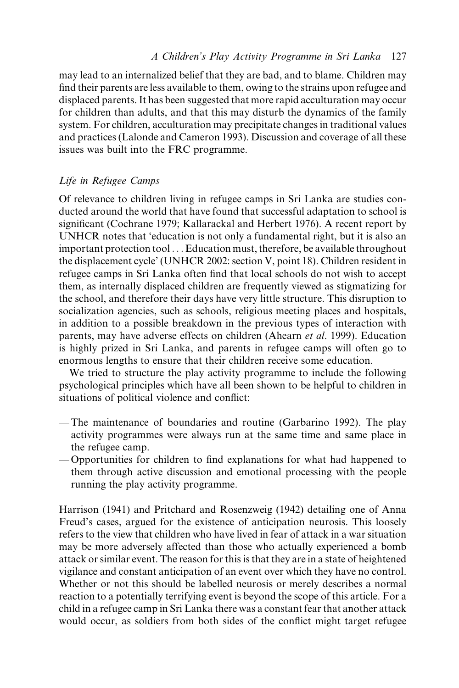may lead to an internalized belief that they are bad, and to blame. Children may find their parents are less available to them, owing to the strains upon refugee and displaced parents.It has been suggested that more rapid acculturation may occur for children than adults, and that this may disturb the dynamics of the family system. For children, acculturation may precipitate changes in traditional values and practices(Lalonde and Cameron 1993). Discussion and coverage of all these issues was built into the FRC programme.

# Life in Refugee Camps

Of relevance to children living in refugee camps in Sri Lanka are studies conducted around the world that have found that successful adaptation to school is significant (Cochrane 1979; Kallarackal and Herbert 1976). A recent report by UNHCR notes that `education is not only a fundamental right, but it is also an  $important protection tool \ldots$  Education must, therefore, be available throughout the displacement cycle' (UNHCR 2002: section V, point 18). Children resident in refugee camps in Sri Lanka often find that local schools do not wish to accept them, as internally displaced children are frequently viewed as stigmatizing for the school, and therefore their days have very little structure. This disruption to socialization agencies, such as schools, religious meeting places and hospitals, in addition to a possible breakdown in the previous types of interaction with parents, may have adverse effects on children (Ahearn et al. 1999). Education is highly prized in Sri Lanka, and parents in refugee camps will often go to enormous lengths to ensure that their children receive some education.

We tried to structure the play activity programme to include the following psychological principles which have all been shown to be helpful to children in situations of political violence and conflict:

- Ð The maintenance of boundaries and routine (Garbarino 1992). The play activity programmes were always run at the same time and same place in the refugee camp.
- Opportunities for children to find explanations for what had happened to them through active discussion and emotional processing with the people running the play activity programme.

Harrison (1941) and Pritchard and Rosenzweig (1942) detailing one of Anna Freud's cases, argued for the existence of anticipation neurosis. This loosely refers to the view that children who have lived in fear of attack in a war situation may be more adversely affected than those who actually experienced a bomb attack orsimilar event. The reason forthisisthat they are in a state of heightened vigilance and constant anticipation of an event over which they have no control. Whether or not this should be labelled neurosis or merely describes a normal reaction to a potentially terrifying event is beyond the scope of this article. For a child in a refugee camp in Sri Lanka there was a constant fearthat another attack would occur, as soldiers from both sides of the conflict might target refugee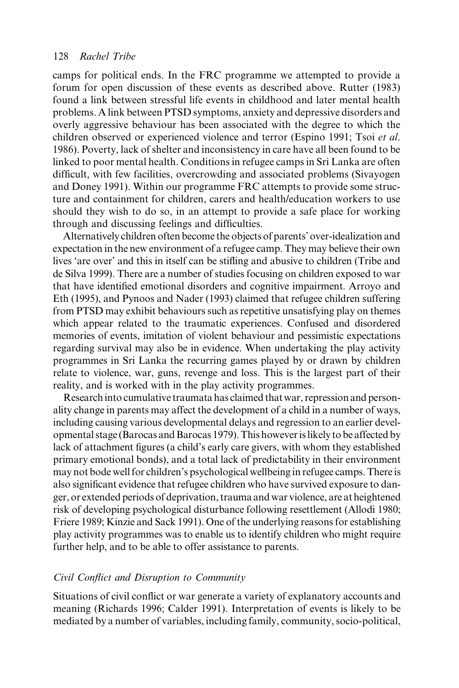camps for political ends. In the FRC programme we attempted to provide a forum for open discussion of these events as described above. Rutter (1983) found a link between stressful life events in childhood and later mental health problems. A link between PTSD symptoms, anxiety and depressive disorders and overly aggressive behaviour has been associated with the degree to which the children observed or experienced violence and terror (Espino 1991; Tsoi et al. 1986). Poverty, lack of shelter and inconsistency in care have all been found to be linked to poor mental health. Conditions in refugee camps in Sri Lanka are often difficult, with few facilities, overcrowding and associated problems (Sivayogen and Doney 1991). Within our programme FRC attempts to provide some structure and containment for children, carers and health/education workers to use should they wish to do so, in an attempt to provide a safe place for working through and discussing feelings and difficulties.

Alternatively children often become the objects of parents' over-idealization and expectation in the new environment of a refugee camp. They may believe their own lives 'are over' and this in itself can be stifling and abusive to children (Tribe and de Silva 1999). There are a number of studies focusing on children exposed to war that have identified emotional disorders and cognitive impairment. Arroyo and Eth (1995), and Pynoos and Nader (1993) claimed that refugee children suffering from PTSD may exhibit behaviourssuch asrepetitive unsatisfying play on themes which appear related to the traumatic experiences. Confused and disordered memories of events, imitation of violent behaviour and pessimistic expectations regarding survival may also be in evidence. When undertaking the play activity programmes in Sri Lanka the recurring games played by or drawn by children relate to violence, war, guns, revenge and loss. This is the largest part of their reality, and is worked with in the play activity programmes.

Research into cumulative traumata has claimed that war, repression and personality change in parents may affect the development of a child in a number of ways, including causing various developmental delays and regression to an earlier developmental stage (Barocas and Barocas 1979). This however is likely to be affected by lack of attachment figures (a child's early care givers, with whom they established primary emotional bonds), and a total lack of predictability in their environment may not bode wellfor children's psychological wellbeing in refugee camps.There is also significant evidence that refugee children who have survived exposure to danger,or extended periods of deprivation,trauma and war violence, are at heightened risk of developing psychological disturbance following resettlement (Allodi 1980; Friere 1989; Kinzie and Sack 1991). One of the underlying reasonsfor establishing play activity programmes was to enable us to identify children who might require further help, and to be able to offer assistance to parents.

#### Civil Conflict and Disruption to Community

Situations of civil conflict or war generate a variety of explanatory accounts and meaning (Richards 1996; Calder 1991). Interpretation of events is likely to be mediated by a number of variables, including family, community, socio-political,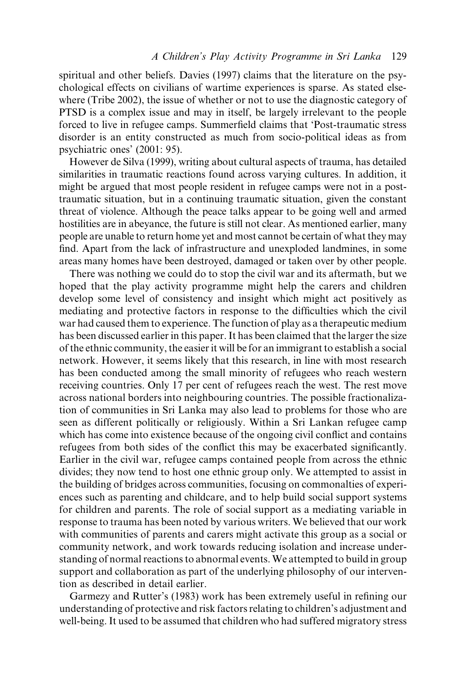spiritual and other beliefs. Davies (1997) claims that the literature on the psychological effects on civilians of wartime experiences is sparse. As stated elsewhere (Tribe 2002), the issue of whether or not to use the diagnostic category of PTSD is a complex issue and may in itself, be largely irrelevant to the people forced to live in refugee camps. Summerfield claims that 'Post-traumatic stress disorder is an entity constructed as much from socio-political ideas as from psychiatric ones' (2001: 95).

However de Silva (1999), writing about cultural aspects of trauma, has detailed similarities in traumatic reactions found across varying cultures. In addition, it might be argued that most people resident in refugee camps were not in a posttraumatic situation, but in a continuing traumatic situation, given the constant threat of violence. Although the peace talks appear to be going well and armed hostilities are in abeyance, the future is still not clear. As mentioned earlier, many people are unable to return home yet and most cannot be certain of what they may find. Apart from the lack of infrastructure and unexploded landmines, in some areas many homes have been destroyed, damaged or taken over by other people.

There was nothing we could do to stop the civil war and its aftermath, but we hoped that the play activity programme might help the carers and children develop some level of consistency and insight which might act positively as mediating and protective factors in response to the difficulties which the civil war had caused them to experience. The function of play as a therapeutic medium has been discussed earlier in this paper. It has been claimed that the larger the size of the ethnic community, the easier it will be for an immigrant to establish a social network. However, it seems likely that this research, in line with most research has been conducted among the small minority of refugees who reach western receiving countries. Only 17 per cent of refugees reach the west. The rest move across national borders into neighbouring countries. The possible fractionalization of communities in Sri Lanka may also lead to problems for those who are seen as different politically or religiously. Within a Sri Lankan refugee camp which has come into existence because of the ongoing civil conflict and contains refugees from both sides of the conflict this may be exacerbated significantly. Earlier in the civil war, refugee camps contained people from across the ethnic divides; they now tend to host one ethnic group only. We attempted to assist in the building of bridges across communities, focusing on commonalties of experiences such as parenting and childcare, and to help build social support systems for children and parents. The role of social support as a mediating variable in response to trauma has been noted by various writers. We believed that our work with communities of parents and carers might activate this group as a social or community network, and work towards reducing isolation and increase understanding of normal reactions to abnormal events. We attempted to build in group support and collaboration as part of the underlying philosophy of our intervention as described in detail earlier.

Garmezy and Rutter's (1983) work has been extremely useful in refining our understanding of protective and risk factors relating to children's adjustment and well-being. It used to be assumed that children who had suffered migratory stress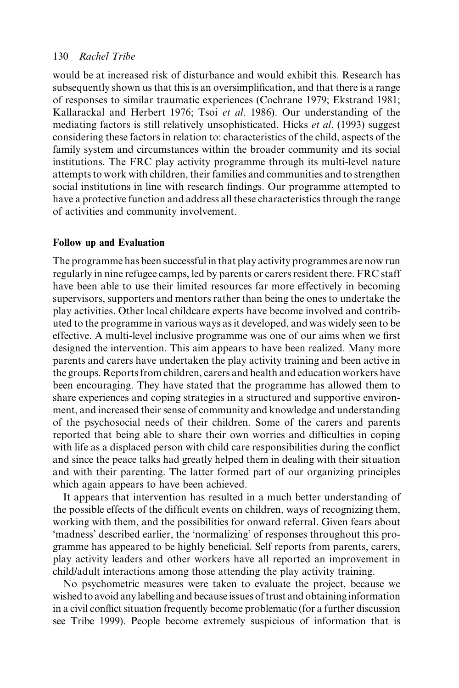would be at increased risk of disturbance and would exhibit this. Research has subsequently shown us that this is an oversimplification, and that there is a range of responses to similar traumatic experiences (Cochrane 1979; Ekstrand 1981; Kallarackal and Herbert 1976; Tsoi et al. 1986). Our understanding of the mediating factors is still relatively unsophisticated. Hicks et al. (1993) suggest considering these factors in relation to: characteristics of the child, aspects of the family system and circumstances within the broader community and its social institutions. The FRC play activity programme through its multi-level nature attempts to work with children, their families and communities and to strengthen social institutions in line with research findings. Our programme attempted to have a protective function and address all these characteristics through the range of activities and community involvement.

# Follow up and Evaluation

The programme has been successful in that play activity programmes are now run regularly in nine refugee camps, led by parents or carers resident there. FRC staff have been able to use their limited resources far more effectively in becoming supervisors, supporters and mentors rather than being the ones to undertake the play activities. Other local childcare experts have become involved and contributed to the programme in various ways asit developed, and was widely seen to be effective. A multi-level inclusive programme was one of our aims when we first designed the intervention. This aim appears to have been realized. Many more parents and carers have undertaken the play activity training and been active in the groups. Reportsfrom children, carers and health and education workers have been encouraging. They have stated that the programme has allowed them to share experiences and coping strategies in a structured and supportive environment, and increased their sense of community and knowledge and understanding of the psychosocial needs of their children. Some of the carers and parents reported that being able to share their own worries and difficulties in coping with life as a displaced person with child care responsibilities during the conflict and since the peace talks had greatly helped them in dealing with their situation and with their parenting. The latter formed part of our organizing principles which again appears to have been achieved.

It appears that intervention has resulted in a much better understanding of the possible effects of the difficult events on children, ways of recognizing them, working with them, and the possibilities for onward referral. Given fears about `madness' described earlier, the `normalizing' of responses throughout this programme has appeared to be highly beneficial. Self reports from parents, carers, play activity leaders and other workers have all reported an improvement in child/adult interactions among those attending the play activity training.

No psychometric measures were taken to evaluate the project, because we wished to avoid any labelling and because issues of trust and obtaining information in a civil conflict situation frequently become problematic (for a further discussion see Tribe 1999). People become extremely suspicious of information that is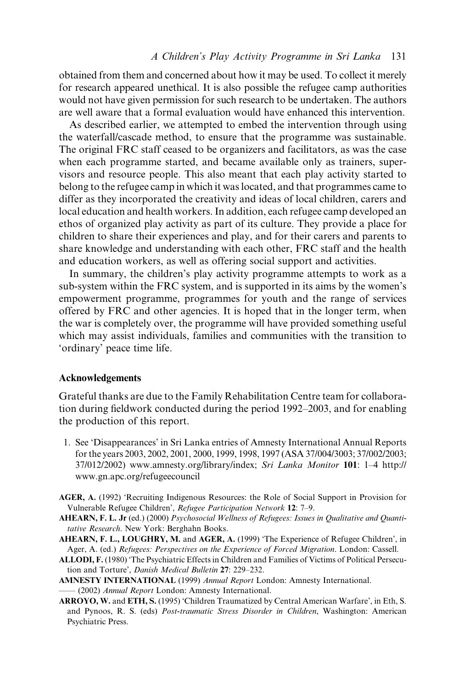obtained from them and concerned about how it may be used. To collect it merely for research appeared unethical. It is also possible the refugee camp authorities would not have given permission for such research to be undertaken. The authors are well aware that a formal evaluation would have enhanced this intervention.

As described earlier, we attempted to embed the intervention through using the waterfall/cascade method, to ensure that the programme was sustainable. The original FRC staff ceased to be organizers and facilitators, as was the case when each programme started, and became available only as trainers, supervisors and resource people. This also meant that each play activity started to belong to the refugee camp in which it waslocated, and that programmes came to differ as they incorporated the creativity and ideas of local children, carers and local education and health workers.In addition, each refugee camp developed an ethos of organized play activity as part of its culture. They provide a place for children to share their experiences and play, and for their carers and parents to share knowledge and understanding with each other, FRC staff and the health and education workers, as well as offering social support and activities.

In summary, the children's play activity programme attempts to work as a sub-system within the FRC system, and is supported in its aims by the women's empowerment programme, programmes for youth and the range of services offered by FRC and other agencies. It is hoped that in the longer term, when the war is completely over, the programme will have provided something useful which may assist individuals, families and communities with the transition to `ordinary' peace time life.

#### Acknowledgements

Grateful thanks are due to the Family Rehabilitation Centre team for collaboration during fieldwork conducted during the period 1992–2003, and for enabling the production of this report.

- 1. See `Disappearances' in Sri Lanka entries of Amnesty International Annual Reports forthe years 2003, 2002, 2001, 2000, 1999, 1998, 1997 (ASA 37/004/3003; 37/002/2003; 37/012/2002) www.amnesty.org/library/index; Sri Lanka Monitor 101: 1-4 <http://> www.gn.apc.org/refugeecouncil
- AGER, A. (1992) 'Recruiting Indigenous Resources: the Role of Social Support in Provision for Vulnerable Refugee Children', Refugee Participation Network 12: 7-9.
- AHEARN, F. L. Jr (ed.) (2000) Psychosocial Wellness of Refugees: Issues in Qualitative and Quantitative Research. New York: Berghahn Books.
- AHEARN, F. L., LOUGHRY, M. and AGER, A. (1999) 'The Experience of Refugee Children', in Ager, A. (ed.) Refugees: Perspectives on the Experience of Forced Migration. London: Cassell.
- ALLODI, F. (1980) `The Psychiatric Effectsin Children and Families of Victims of Political Persecution and Torture', Danish Medical Bulletin 27: 229-232.
- AMNESTY INTERNATIONAL (1999) Annual Report London: Amnesty International.  $-$  (2002) Annual Report London: Amnesty International.
- ARROYO, W. and ETH, S. (1995) `Children Traumatized by Central American Warfare', in Eth, S. and Pynoos, R. S. (eds) Post-traumatic Stress Disorder in Children, Washington: American Psychiatric Press.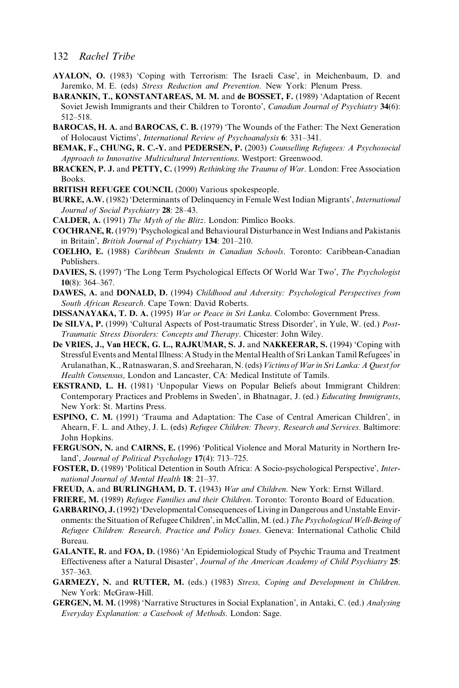- AYALON, O. (1983) 'Coping with Terrorism: The Israeli Case', in Meichenbaum, D. and Jaremko, M. E. (eds) Stress Reduction and Prevention. New York: Plenum Press.
- BARANKIN, T., KONSTANTAREAS, M. M. and de BOSSET, F. (1989) 'Adaptation of Recent Soviet Jewish Immigrants and their Children to Toronto', Canadian Journal of Psychiatry 34(6): 512-518.
- BAROCAS, H. A. and BAROCAS, C. B. (1979) `The Wounds of the Father: The Next Generation of Holocaust Victims', International Review of Psychoanalysis 6: 331-341.
- BEMAK, F., CHUNG, R. C.-Y. and PEDERSEN, P. (2003) Counselling Refugees: A Psychosocial Approach to Innovative Multicultural Interventions. Westport: Greenwood.
- BRACKEN, P. J. and PETTY, C. (1999) Rethinking the Trauma of War. London: Free Association Books.
- BRITISH REFUGEE COUNCIL (2000) Various spokespeople.
- BURKE, A.W. (1982) 'Determinants of Delinquency in Female West Indian Migrants', *International* Journal of Social Psychiatry 28: 28-43.
- CALDER, A. (1991) The Myth of the Blitz. London: Pimlico Books.
- COCHRANE, R. (1979) 'Psychological and Behavioural Disturbance in West Indians and Pakistanis in Britain', British Journal of Psychiatry 134: 201-210.
- COELHO, E. (1988) Caribbean Students in Canadian Schools. Toronto: Caribbean-Canadian Publishers.
- DAVIES, S. (1997) 'The Long Term Psychological Effects Of World War Two', The Psychologist 10(8):  $364 - 367$ .
- DAWES, A. and DONALD, D. (1994) Childhood and Adversity: Psychological Perspectives from South African Research. Cape Town: David Roberts.
- DISSANAYAKA, T. D. A. (1995) War or Peace in Sri Lanka. Colombo: Government Press.
- De SILVA, P. (1999) 'Cultural Aspects of Post-traumatic Stress Disorder', in Yule, W. (ed.) Post-Traumatic Stress Disorders: Concepts and Therapy. Chicester: John Wiley.
- De VRIES, J., Van HECK, G. L., RAJKUMAR, S. J. and NAKKEERAR, S. (1994) 'Coping with Stressful Events andMentalIllness: A Study in the Mental Health of SriLankanTamil Refugees' in Arulanathan, K., Ratnaswaran, S. and Sreeharan, N. (eds) Victims of War in Sri Lanka: A Quest for Health Consensus, London and Lancaster, CA: Medical Institute of Tamils.
- EKSTRAND, L. H. (1981) `Unpopular Views on Popular Beliefs about Immigrant Children: Contemporary Practices and Problems in Sweden', in Bhatnagar, J. (ed.) Educating Immigrants, New York: St. Martins Press.
- ESPINO, C. M. (1991) `Trauma and Adaptation: The Case of Central American Children', in Ahearn, F. L. and Athey, J. L. (eds) Refugee Children: Theory, Research and Services. Baltimore: John Hopkins.
- FERGUSON, N. and CAIRNS, E. (1996) 'Political Violence and Moral Maturity in Northern Ireland', Journal of Political Psychology 17(4): 713-725.
- FOSTER, D. (1989) 'Political Detention in South Africa: A Socio-psychological Perspective', *Inter*national Journal of Mental Health  $18: 21-37$ .
- FREUD, A. and BURLINGHAM, D. T. (1943) War and Children. New York: Ernst Willard.
- FRIERE, M. (1989) Refugee Families and their Children. Toronto: Toronto Board of Education.
- GARBARINO, J. (1992) `Developmental Consequences of Living in Dangerous and Unstable Environments: the Situation of Refugee Children', in McCallin, M. (ed.) The Psychological Well-Being of Refugee Children: Research, Practice and Policy Issues. Geneva: International Catholic Child Bureau.
- GALANTE, R. and FOA, D. (1986) `An Epidemiological Study of Psychic Trauma and Treatment Effectiveness after a Natural Disaster', Journal of the American Academy of Child Psychiatry 25: 357±363.
- GARMEZY, N. and RUTTER, M. (eds.) (1983) Stress, Coping and Development in Children. New York: McGraw-Hill.
- GERGEN, M. M. (1998) `Narrative Structures in Social Explanation', in Antaki, C. (ed.) Analysing Everyday Explanation: a Casebook of Methods. London: Sage.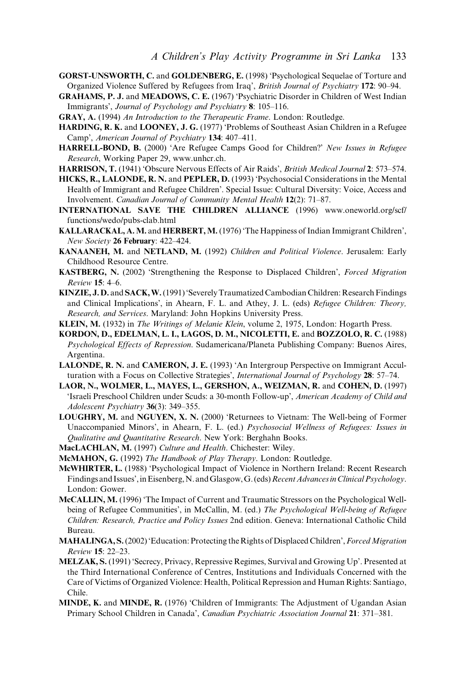- GORST-UNSWORTH, C. and GOLDENBERG, E. (1998) `Psychological Sequelae of Torture and Organized Violence Suffered by Refugees from Iraq', British Journal of Psychiatry 172: 90–94.
- GRAHAMS, P. J. and MEADOWS, C. E. (1967) `Psychiatric Disorder in Children of West Indian Immigrants', Journal of Psychology and Psychiatry 8: 105-116.
- GRAY, A. (1994) An Introduction to the Therapeutic Frame. London: Routledge.
- HARDING, R. K. and LOONEY, J. G. (1977) `Problems of Southeast Asian Children in a Refugee Camp', American Journal of Psychiatry 134: 407–411.
- HARRELL-BOND, B. (2000) `Are Refugee Camps Good for Children?' New Issues in Refugee Research, Working Paper 29, www.unhcr.ch.
- HARRISON, T. (1941) 'Obscure Nervous Effects of Air Raids', British Medical Journal 2: 573–574.
- HICKS, R., LALONDE, R. N. and PEPLER, D. (1993) `Psychosocial Considerations in the Mental Health of Immigrant and Refugee Children'. Special Issue: Cultural Diversity: Voice, Access and Involvement. Canadian Journal of Community Mental Health 12(2): 71-87.
- INTERNATIONAL SAVE THE CHILDREN ALLIANCE (1996) www.oneworld.org/scf/ functions/wedo/pubs-clab.html
- KALLARACKAL, A. M. and HERBERT, M. (1976) 'The Happiness of Indian Immigrant Children', New Society 26 February: 422-424.
- KANAANEH, M. and NETLAND, M. (1992) Children and Political Violence. Jerusalem: Early Childhood Resource Centre.
- KASTBERG, N. (2002) 'Strengthening the Response to Displaced Children', Forced Migration Review 15: 4-6.
- KINZIE, J. D. and SACK, W. (1991) 'Severely Traumatized Cambodian Children: Research Findings and Clinical Implications', in Ahearn, F. L. and Athey, J. L. (eds) Refugee Children: Theory, Research, and Services. Maryland: John Hopkins University Press.
- KLEIN, M. (1932) in The Writings of Melanie Klein, volume 2, 1975, London: Hogarth Press.
- KORDON, D., EDELMAN, L. I., LAGOS, D. M., NICOLETTI, E. and BOZZOLO, R. C. (1988) Psychological Effects of Repression. Sudamericana/Planeta Publishing Company: Buenos Aires, Argentina.
- LALONDE, R. N. and CAMERON, J. E. (1993) 'An Intergroup Perspective on Immigrant Acculturation with a Focus on Collective Strategies', *International Journal of Psychology* 28: 57–74.
- LAOR, N., WOLMER, L., MAYES, L., GERSHON, A., WEIZMAN, R. and COHEN, D. (1997) `Israeli Preschool Children under Scuds: a 30-month Follow-up', American Academy of Child and Adolescent Psychiatry 36(3): 349-355.
- LOUGHRY, M. and NGUYEN, X. N. (2000) `Returnees to Vietnam: The Well-being of Former Unaccompanied Minors', in Ahearn, F. L. (ed.) Psychosocial Wellness of Refugees: Issues in Qualitative and Quantitative Research. New York: Berghahn Books.
- MacLACHLAN, M. (1997) Culture and Health. Chichester: Wiley.

McMAHON, G. (1992) The Handbook of Play Therapy. London: Routledge.

- McWHIRTER, L. (1988) `Psychological Impact of Violence in Northern Ireland: Recent Research Findings and Issues', in Eisenberg, N. and Glasgow, G. (eds) Recent Advances in Clinical Psychology. London: Gower.
- McCALLIN, M. (1996) `The Impact of Current and Traumatic Stressors on the Psychological Wellbeing of Refugee Communities', in McCallin, M. (ed.) The Psychological Well-being of Refugee Children: Research, Practice and Policy Issues 2nd edition. Geneva: International Catholic Child Bureau.
- MAHALINGA, S. (2002) 'Education: Protecting the Rights of Displaced Children', Forced Migration Review 15: 22-23.
- MELZAK, S. (1991) 'Secrecy, Privacy, Repressive Regimes, Survival and Growing Up'. Presented at the Third International Conference of Centres, Institutions and Individuals Concerned with the Care of Victims of Organized Violence: Health, Political Repression and Human Rights: Santiago, Chile.
- MINDE, K. and MINDE, R. (1976) `Children of Immigrants: The Adjustment of Ugandan Asian Primary School Children in Canada', Canadian Psychiatric Association Journal 21: 371-381.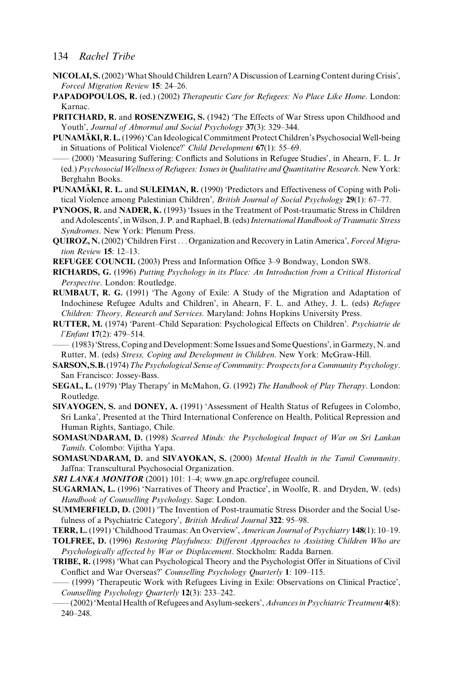- NICOLAI, S. (2002) 'What Should Children Learn? A Discussion of Learning Content during Crisis', Forced Migration Review 15: 24-26.
- PAPADOPOULOS, R. (ed.) (2002) Therapeutic Care for Refugees: No Place Like Home. London: Karnac.
- PRITCHARD, R. and ROSENZWEIG, S. (1942) `The Effects of War Stress upon Childhood and Youth', Journal of Abnormal and Social Psychology 37(3): 329–344.
- PUNAMÄKI, R. L. (1996) 'Can Ideological Commitment Protect Children's Psychosocial Well-being in Situations of Political Violence?' Child Development 67(1): 55–69.
- $\nu = (2000)$  'Measuring Suffering: Conflicts and Solutions in Refugee Studies', in Ahearn, F. L. Jr (ed.) Psychosocial Wellness of Refugees: Issues in Qualitative and Quantitative Research. New York: Berghahn Books.
- PUNAMÄKI, R. L. and SULEIMAN, R. (1990) 'Predictors and Effectiveness of Coping with Political Violence among Palestinian Children', British Journal of Social Psychology 29(1): 67-77.
- PYNOOS, R. and NADER, K. (1993) 'Issues in the Treatment of Post-traumatic Stress in Children and Adolescents', in Wilson, J. P. and Raphael, B. (eds) International Handbook of Traumatic Stress Syndromes. New York: Plenum Press.
- QUIROZ, N. (2002) 'Children First... Organization and Recovery in Latin America', Forced Migration Review  $15: 12-13$ .
- REFUGEE COUNCIL (2003) Press and Information Office 3–9 Bondway, London SW8.
- RICHARDS, G. (1996) Putting Psychology in its Place: An Introduction from a Critical Historical Perspective. London: Routledge.
- RUMBAUT, R. G. (1991) `The Agony of Exile: A Study of the Migration and Adaptation of Indochinese Refugee Adults and Children', in Ahearn, F. L. and Athey, J. L. (eds) Refugee Children: Theory, Research and Services. Maryland: Johns Hopkins University Press.
- RUTTER, M. (1974) 'Parent-Child Separation: Psychological Effects on Children'. Psychiatrie de l'Enfant 17(2): 479-514.
- ÐÐ (1983)`Stress, Coping and Development: Some Issues and SomeQuestions', in Garmezy, N. and Rutter, M. (eds) Stress, Coping and Development in Children. New York: McGraw-Hill.
- SARSON,S.B.(1974) The Psychological Sense of Community: Prospects for a Community Psychology. San Francisco: Jossey-Bass.
- SEGAL, L. (1979) 'Play Therapy' in McMahon, G. (1992) The Handbook of Play Therapy. London: Routledge.
- SIVAYOGEN, S. and DONEY, A. (1991) `Assessment of Health Status of Refugees in Colombo, Sri Lanka', Presented at the Third International Conference on Health, Political Repression and Human Rights, Santiago, Chile.
- SOMASUNDARAM, D. (1998) Scarred Minds: the Psychological Impact of War on Sri Lankan Tamils. Colombo: Vijitha Yapa.
- SOMASUNDARAM, D. and SIVAYOKAN, S. (2000) Mental Health in the Tamil Community. Jaffna: Transcultural Psychosocial Organization.
- **SRI LANKA MONITOR** (2001) 101: 1-4; www.gn.apc.org/refugee council.
- SUGARMAN, L. (1996) `Narratives of Theory and Practice', in Woolfe, R. and Dryden, W. (eds) Handbook of Counselling Psychology. Sage: London.
- SUMMERFIELD, D. (2001) `The Invention of Post-traumatic Stress Disorder and the Social Usefulness of a Psychiatric Category', British Medical Journal 322: 95-98.
- TERR, L. (1991) 'Childhood Traumas: An Overview', American Journal of Psychiatry 148(1): 10-19.
- TOLFREE, D. (1996) Restoring Playfulness: Different Approaches to Assisting Children Who are Psychologically affected by War or Displacement. Stockholm: Radda Barnen.
- TRIBE, R. (1998) `What can Psychological Theory and the Psychologist Offer in Situations of Civil Conflict and War Overseas?' Counselling Psychology Quarterly 1: 109-115.
- ÐÐ (1999) `Therapeutic Work with Refugees Living in Exile: Observations on Clinical Practice', Counselling Psychology Quarterly  $12(3)$ : 233-242.
- (2002)'Mental Health of Refugees and Asylum-seekers', Advances in Psychiatric Treatment 4(8): 240-248.